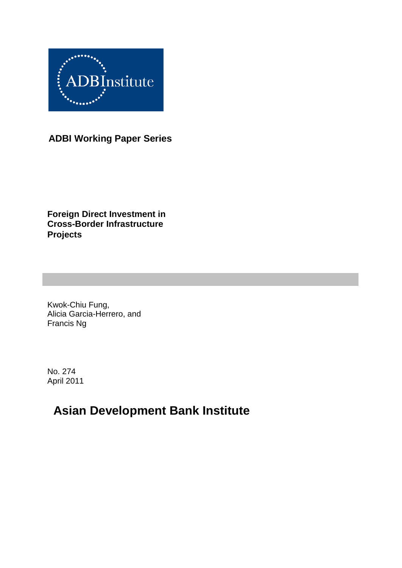

**ADBI Working Paper Series**

**Foreign Direct Investment in Cross-Border Infrastructure Projects**

Kwok-Chiu Fung, Alicia Garcia-Herrero, and Francis Ng

No. 274 April 2011

# **Asian Development Bank Institute**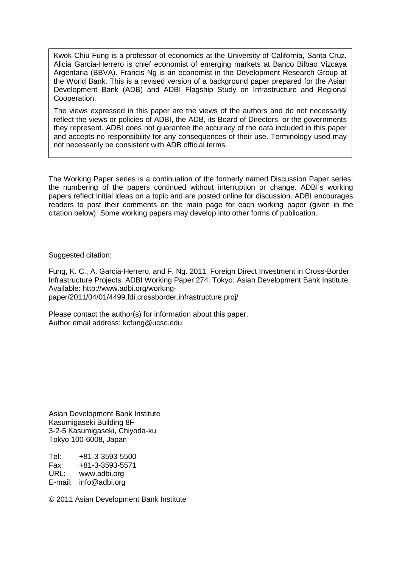Kwok-Chiu Fung is a professor of economics at the University of California, Santa Cruz. Alicia Garcia-Herrero is chief economist of emerging markets at Banco Bilbao Vizcaya Argentaria (BBVA). Francis Ng is an economist in the Development Research Group at the World Bank. This is a revised version of a background paper prepared for the Asian Development Bank (ADB) and ADBI Flagship Study on Infrastructure and Regional Cooperation.

The views expressed in this paper are the views of the authors and do not necessarily reflect the views or policies of ADBI, the ADB, its Board of Directors, or the governments they represent. ADBI does not guarantee the accuracy of the data included in this paper and accepts no responsibility for any consequences of their use. Terminology used may not necessarily be consistent with ADB official terms.

The Working Paper series is a continuation of the formerly named Discussion Paper series; the numbering of the papers continued without interruption or change. ADBI's working papers reflect initial ideas on a topic and are posted online for discussion. ADBI encourages readers to post their comments on the main page for each working paper (given in the citation below). Some working papers may develop into other forms of publication.

Suggested citation:

Fung, K. C., A. Garcia-Herrero, and F. Ng. 2011. Foreign Direct Investment in Cross-Border Infrastructure Projects. ADBI Working Paper 274. Tokyo: Asian Development Bank Institute. Available: http://www.adbi.org/workingpaper/2011/04/01/4499.fdi.crossborder.infrastructure.proj/

Please contact the author(s) for information about this paper. Author email address: kcfung@ucsc.edu

Asian Development Bank Institute Kasumigaseki Building 8F 3-2-5 Kasumigaseki, Chiyoda-ku Tokyo 100-6008, Japan

Tel: +81-3-3593-5500 Fax: +81-3-3593-5571 www.adbi.org E-mail: info@adbi.org

© 2011 Asian Development Bank Institute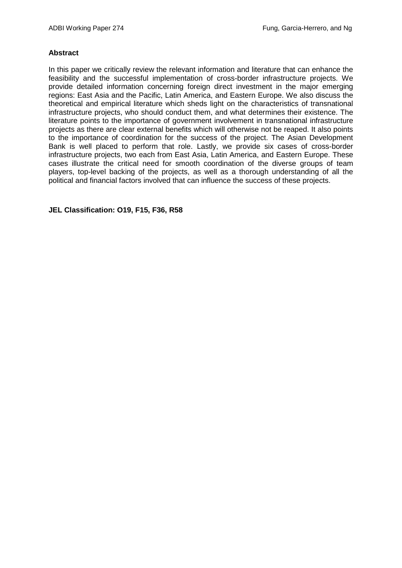#### **Abstract**

In this paper we critically review the relevant information and literature that can enhance the feasibility and the successful implementation of cross-border infrastructure projects. We provide detailed information concerning foreign direct investment in the major emerging regions: East Asia and the Pacific, Latin America, and Eastern Europe. We also discuss the theoretical and empirical literature which sheds light on the characteristics of transnational infrastructure projects, who should conduct them, and what determines their existence. The literature points to the importance of government involvement in transnational infrastructure projects as there are clear external benefits which will otherwise not be reaped. It also points to the importance of coordination for the success of the project. The Asian Development Bank is well placed to perform that role. Lastly, we provide six cases of cross-border infrastructure projects, two each from East Asia, Latin America, and Eastern Europe. These cases illustrate the critical need for smooth coordination of the diverse groups of team players, top-level backing of the projects, as well as a thorough understanding of all the political and financial factors involved that can influence the success of these projects.

**JEL Classification: O19, F15, F36, R58**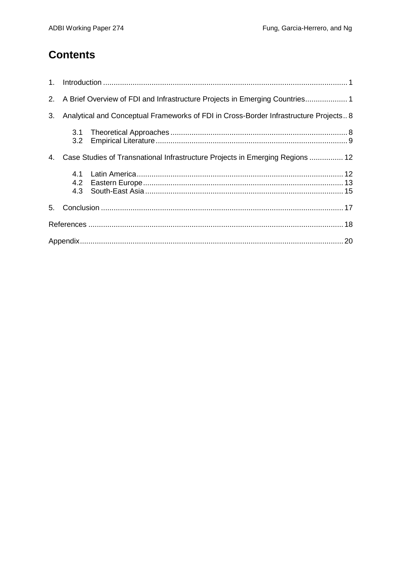## **Contents**

|    |                                                                                       | 2. A Brief Overview of FDI and Infrastructure Projects in Emerging Countries1 |  |  |  |
|----|---------------------------------------------------------------------------------------|-------------------------------------------------------------------------------|--|--|--|
| 3. | Analytical and Conceptual Frameworks of FDI in Cross-Border Infrastructure Projects 8 |                                                                               |  |  |  |
|    | 3.1<br>3.2                                                                            |                                                                               |  |  |  |
| 4. | Case Studies of Transnational Infrastructure Projects in Emerging Regions  12         |                                                                               |  |  |  |
|    | 4.1<br>4.2                                                                            |                                                                               |  |  |  |
|    |                                                                                       |                                                                               |  |  |  |
|    |                                                                                       |                                                                               |  |  |  |
|    |                                                                                       |                                                                               |  |  |  |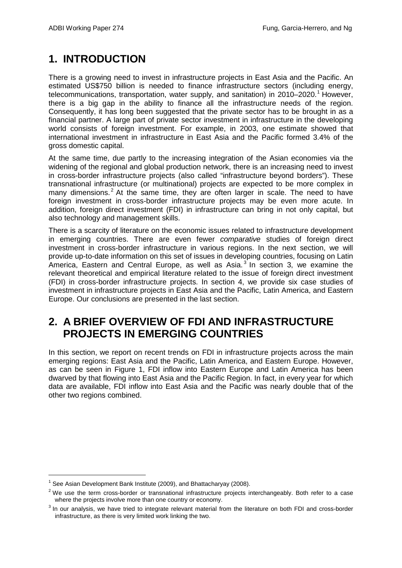## **1. INTRODUCTION**

There is a growing need to invest in infrastructure projects in East Asia and the Pacific. An estimated US\$750 billion is needed to finance infrastructure sectors (including energy, telecommunications, transportation, water supply, and sanitation) in 20[1](#page-4-0)0–2020.<sup>1</sup> However, there is a big gap in the ability to finance all the infrastructure needs of the region. Consequently, it has long been suggested that the private sector has to be brought in as a financial partner. A large part of private sector investment in infrastructure in the developing world consists of foreign investment. For example, in 2003, one estimate showed that international investment in infrastructure in East Asia and the Pacific formed 3.4% of the gross domestic capital.

At the same time, due partly to the increasing integration of the Asian economies via the widening of the regional and global production network, there is an increasing need to invest in cross-border infrastructure projects (also called "infrastructure beyond borders"). These transnational infrastructure (or multinational) projects are expected to be more complex in many dimensions.<sup>[2](#page-4-1)</sup> At the same time, they are often larger in scale. The need to have foreign investment in cross-border infrastructure projects may be even more acute. In addition, foreign direct investment (FDI) in infrastructure can bring in not only capital, but also technology and management skills.

There is a scarcity of literature on the economic issues related to infrastructure development in emerging countries. There are even fewer *comparative* studies of foreign direct investment in cross-border infrastructure in various regions. In the next section, we will provide up-to-date information on this set of issues in developing countries, focusing on Latin America, Eastern and Central Europe, as well as Asia.<sup>[3](#page-4-2)</sup> In section 3, we examine the relevant theoretical and empirical literature related to the issue of foreign direct investment (FDI) in cross-border infrastructure projects. In section 4, we provide six case studies of investment in infrastructure projects in East Asia and the Pacific, Latin America, and Eastern Europe. Our conclusions are presented in the last section.

## **2. A BRIEF OVERVIEW OF FDI AND INFRASTRUCTURE PROJECTS IN EMERGING COUNTRIES**

In this section, we report on recent trends on FDI in infrastructure projects across the main emerging regions: East Asia and the Pacific, Latin America, and Eastern Europe. However, as can be seen in Figure 1, FDI inflow into Eastern Europe and Latin America has been dwarved by that flowing into East Asia and the Pacific Region. In fact, in every year for which data are available, FDI inflow into East Asia and the Pacific was nearly double that of the other two regions combined.

<span id="page-4-0"></span> $1$  See Asian Development Bank Institute (2009), and Bhattacharyay (2008).

<span id="page-4-1"></span> $2$  We use the term cross-border or transnational infrastructure projects interchangeably. Both refer to a case where the projects involve more than one country or economy.

<span id="page-4-2"></span><sup>&</sup>lt;sup>3</sup> In our analysis, we have tried to integrate relevant material from the literature on both FDI and cross-border infrastructure, as there is very limited work linking the two.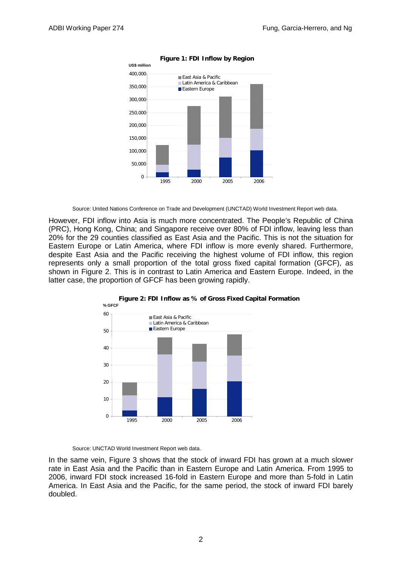

**Figure 1: FDI Inflow by Region** 

Source: United Nations Conference on Trade and Development (UNCTAD) World Investment Report web data.

However, FDI inflow into Asia is much more concentrated. The People's Republic of China (PRC), Hong Kong, China; and Singapore receive over 80% of FDI inflow, leaving less than 20% for the 29 counties classified as East Asia and the Pacific. This is not the situation for Eastern Europe or Latin America, where FDI inflow is more evenly shared. Furthermore, despite East Asia and the Pacific receiving the highest volume of FDI inflow, this region represents only a small proportion of the total gross fixed capital formation (GFCF), as shown in Figure 2. This is in contrast to Latin America and Eastern Europe. Indeed, in the latter case, the proportion of GFCF has been growing rapidly.



**Figure 2: FDI Inflow as % of Gross Fixed Capital Formation % GFCF**

Source: UNCTAD World Investment Report web data.

In the same vein, Figure 3 shows that the stock of inward FDI has grown at a much slower rate in East Asia and the Pacific than in Eastern Europe and Latin America. From 1995 to 2006, inward FDI stock increased 16-fold in Eastern Europe and more than 5-fold in Latin America. In East Asia and the Pacific, for the same period, the stock of inward FDI barely doubled.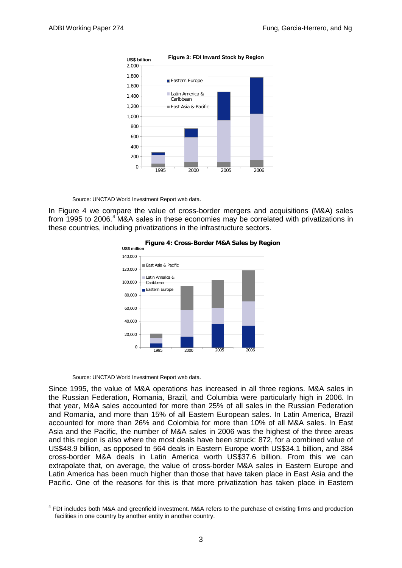

**Figure 3: FDI Inward Stock by Region US\$ billion**

Source: UNCTAD World Investment Report web data.

In Figure 4 we compare the value of cross-border mergers and acquisitions (M&A) sales from 1995 to 2006.<sup>[4](#page-6-0)</sup> M&A sales in these economies may be correlated with privatizations in these countries, including privatizations in the infrastructure sectors.





Source: UNCTAD World Investment Report web data.

Since 1995, the value of M&A operations has increased in all three regions. M&A sales in the Russian Federation, Romania, Brazil, and Columbia were particularly high in 2006. In that year, M&A sales accounted for more than 25% of all sales in the Russian Federation and Romania, and more than 15% of all Eastern European sales. In Latin America, Brazil accounted for more than 26% and Colombia for more than 10% of all M&A sales. In East Asia and the Pacific, the number of M&A sales in 2006 was the highest of the three areas and this region is also where the most deals have been struck: 872, for a combined value of US\$48.9 billion, as opposed to 564 deals in Eastern Europe worth US\$34.1 billion, and 384 cross-border M&A deals in Latin America worth US\$37.6 billion. From this we can extrapolate that, on average, the value of cross-border M&A sales in Eastern Europe and Latin America has been much higher than those that have taken place in East Asia and the Pacific. One of the reasons for this is that more privatization has taken place in Eastern

<span id="page-6-0"></span><sup>&</sup>lt;sup>4</sup> FDI includes both M&A and greenfield investment. M&A refers to the purchase of existing firms and production facilities in one country by another entity in another country.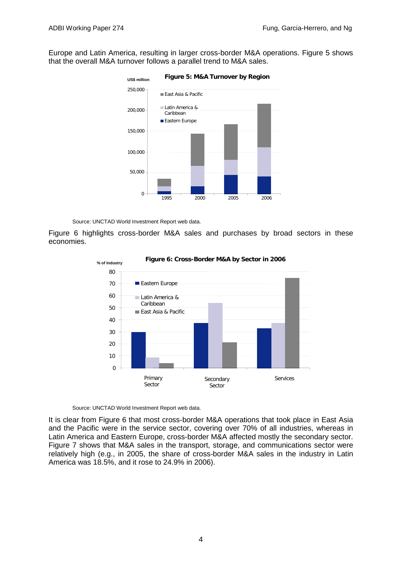Europe and Latin America, resulting in larger cross-border M&A operations. Figure 5 shows that the overall M&A turnover follows a parallel trend to M&A sales.



Source: UNCTAD World Investment Report web data.

Figure 6 highlights cross-border M&A sales and purchases by broad sectors in these economies.



**Figure 6: Cross-Border M&A by Sector in 2006**

Source: UNCTAD World Investment Report web data.

It is clear from Figure 6 that most cross-border M&A operations that took place in East Asia and the Pacific were in the service sector, covering over 70% of all industries, whereas in Latin America and Eastern Europe, cross-border M&A affected mostly the secondary sector. Figure 7 shows that M&A sales in the transport, storage, and communications sector were relatively high (e.g., in 2005, the share of cross-border M&A sales in the industry in Latin America was 18.5%, and it rose to 24.9% in 2006).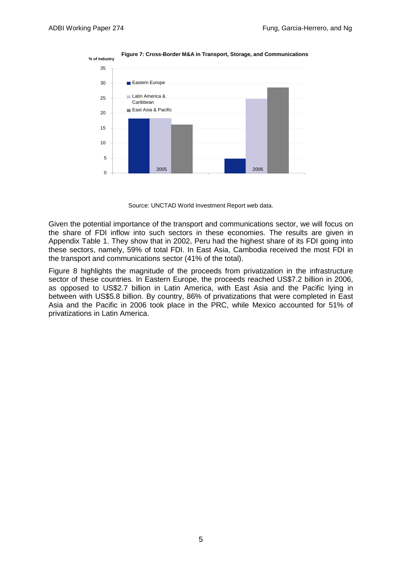

**Figure 7: Cross-Border M&A in Transport, Storage, and Communications** 

Source: UNCTAD World Investment Report web data.

Given the potential importance of the transport and communications sector, we will focus on the share of FDI inflow into such sectors in these economies. The results are given in Appendix Table 1. They show that in 2002, Peru had the highest share of its FDI going into these sectors, namely, 59% of total FDI. In East Asia, Cambodia received the most FDI in the transport and communications sector (41% of the total).

Figure 8 highlights the magnitude of the proceeds from privatization in the infrastructure sector of these countries. In Eastern Europe, the proceeds reached US\$7.2 billion in 2006, as opposed to US\$2.7 billion in Latin America, with East Asia and the Pacific lying in between with US\$5.8 billion. By country, 86% of privatizations that were completed in East Asia and the Pacific in 2006 took place in the PRC, while Mexico accounted for 51% of privatizations in Latin America.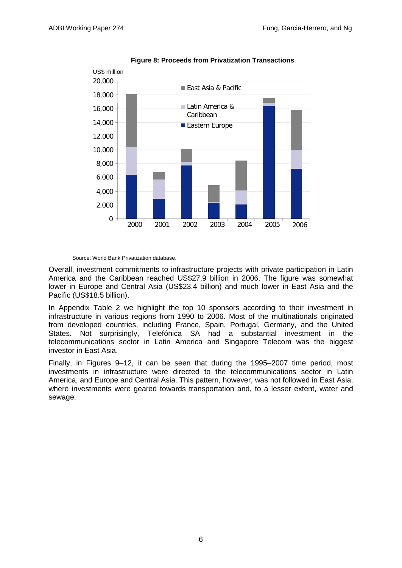

#### **Figure 8: Proceeds from Privatization Transactions**

Source: World Bank Privatization database.

Overall, investment commitments to infrastructure projects with private participation in Latin America and the Caribbean reached US\$27.9 billion in 2006. The figure was somewhat lower in Europe and Central Asia (US\$23.4 billion) and much lower in East Asia and the Pacific (US\$18.5 billion).

In Appendix Table 2 we highlight the top 10 sponsors according to their investment in infrastructure in various regions from 1990 to 2006. Most of the multinationals originated from developed countries, including France, Spain, Portugal, Germany, and the United States. Not surprisingly, Telefónica SA had a substantial investment in the telecommunications sector in Latin America and Singapore Telecom was the biggest investor in East Asia.

Finally, in Figures 9–12, it can be seen that during the 1995–2007 time period, most investments in infrastructure were directed to the telecommunications sector in Latin America, and Europe and Central Asia. This pattern, however, was not followed in East Asia, where investments were geared towards transportation and, to a lesser extent, water and sewage.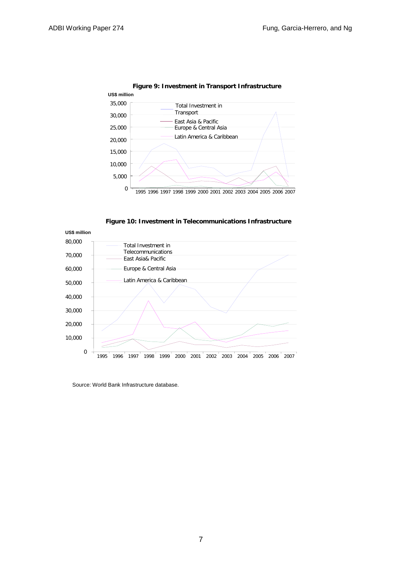

**Figure 9: Investment in Transport Infrastructure** 

**Figure 10: Investment in Telecommunications Infrastructure** 



Source: World Bank Infrastructure database.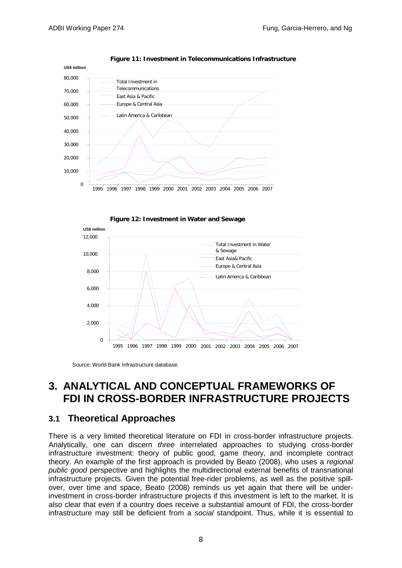

**Figure 11: Investment in Telecommunications Infrastructure** 





Source: World Bank Infrastructure database.

## **3. ANALYTICAL AND CONCEPTUAL FRAMEWORKS OF FDI IN CROSS-BORDER INFRASTRUCTURE PROJECTS**

### **3.1 Theoretical Approaches**

There is a very limited theoretical literature on FDI in cross-border infrastructure projects. Analytically, one can discern *three* interrelated approaches to studying cross-border infrastructure investment: theory of public good, game theory, and incomplete contract theory. An example of the first approach is provided by Beato (2008), who uses a *regional public good* perspective and highlights the multidirectional external benefits of transnational infrastructure projects. Given the potential free-rider problems, as well as the positive spillover, over time and space, Beato (2008) reminds us yet again that there will be underinvestment in cross-border infrastructure projects if this investment is left to the market. It is also clear that even if a country does receive a substantial amount of FDI, the cross-border infrastructure may still be deficient from a *social* standpoint. Thus, while it is essential to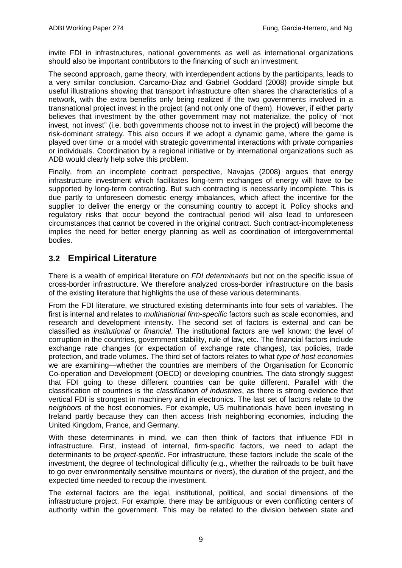invite FDI in infrastructures, national governments as well as international organizations should also be important contributors to the financing of such an investment.

The second approach, game theory, with interdependent actions by the participants, leads to a very similar conclusion. Carcamo-Diaz and Gabriel Goddard (2008) provide simple but useful illustrations showing that transport infrastructure often shares the characteristics of a network, with the extra benefits only being realized if the two governments involved in a transnational project invest in the project (and not only one of them). However, if either party believes that investment by the other government may not materialize, the policy of "not invest, not invest" (i.e. both governments choose not to invest in the project) will become the risk-dominant strategy. This also occurs if we adopt a dynamic game, where the game is played over time or a model with strategic governmental interactions with private companies or individuals. Coordination by a regional initiative or by international organizations such as ADB would clearly help solve this problem.

Finally, from an incomplete contract perspective, Navajas (2008) argues that energy infrastructure investment which facilitates long-term exchanges of energy will have to be supported by long-term contracting. But such contracting is necessarily incomplete. This is due partly to unforeseen domestic energy imbalances, which affect the incentive for the supplier to deliver the energy or the consuming country to accept it. Policy shocks and regulatory risks that occur beyond the contractual period will also lead to unforeseen circumstances that cannot be covered in the original contract. Such contract-incompleteness implies the need for better energy planning as well as coordination of intergovernmental bodies.

### **3.2 Empirical Literature**

There is a wealth of empirical literature on *FDI determinants* but not on the specific issue of cross-border infrastructure. We therefore analyzed cross-border infrastructure on the basis of the existing literature that highlights the use of these various determinants.

From the FDI literature, we structured existing determinants into four sets of variables. The first is internal and relates to *multinational firm-specific* factors such as scale economies, and research and development intensity. The second set of factors is external and can be classified as *institutional* or *financial*. The institutional factors are well known: the level of corruption in the countries, government stability, rule of law, etc. The financial factors include exchange rate changes (or expectation of exchange rate changes), tax policies, trade protection, and trade volumes. The third set of factors relates to what *type of host economies* we are examining—whether the countries are members of the Organisation for Economic Co-operation and Development (OECD) or developing countries. The data strongly suggest that FDI going to these different countries can be quite different. Parallel with the classification of countries is the *classification of industries*, as there is strong evidence that vertical FDI is strongest in machinery and in electronics. The last set of factors relate to the *neighbors* of the host economies. For example, US multinationals have been investing in Ireland partly because they can then access Irish neighboring economies, including the United Kingdom, France, and Germany.

With these determinants in mind, we can then think of factors that influence FDI in infrastructure. First, instead of internal, firm-specific factors, we need to adapt the determinants to be *project-specific*. For infrastructure, these factors include the scale of the investment, the degree of technological difficulty (e.g., whether the railroads to be built have to go over environmentally sensitive mountains or rivers), the duration of the project, and the expected time needed to recoup the investment.

The external factors are the legal, institutional, political, and social dimensions of the infrastructure project. For example, there may be ambiguous or even conflicting centers of authority within the government. This may be related to the division between state and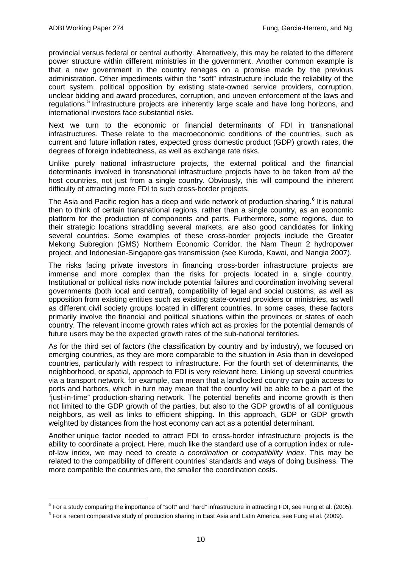provincial versus federal or central authority. Alternatively, this may be related to the different power structure within different ministries in the government. Another common example is that a new government in the country reneges on a promise made by the previous administration. Other impediments within the "soft" infrastructure include the reliability of the court system, political opposition by existing state-owned service providers, corruption, unclear bidding and award procedures, corruption, and uneven enforcement of the laws and regulations.<sup>[5](#page-13-0)</sup> Infrastructure projects are inherently large scale and have long horizons, and international investors face substantial risks.

Next we turn to the economic or financial determinants of FDI in transnational infrastructures. These relate to the macroeconomic conditions of the countries, such as current and future inflation rates, expected gross domestic product (GDP) growth rates, the degrees of foreign indebtedness, as well as exchange rate risks.

Unlike purely national infrastructure projects, the external political and the financial determinants involved in transnational infrastructure projects have to be taken from *all* the host countries, not just from a single country. Obviously, this will compound the inherent difficulty of attracting more FDI to such cross-border projects.

The Asia and Pacific region has a deep and wide network of production sharing.<sup>[6](#page-13-1)</sup> It is natural then to think of certain transnational regions, rather than a single country, as an economic platform for the production of components and parts. Furthermore, some regions, due to their strategic locations straddling several markets, are also good candidates for linking several countries. Some examples of these cross-border projects include the Greater Mekong Subregion (GMS) Northern Economic Corridor, the Nam Theun 2 hydropower project, and Indonesian-Singapore gas transmission (see Kuroda, Kawai, and Nangia 2007).

The risks facing private investors in financing cross-border infrastructure projects are immense and more complex than the risks for projects located in a single country. Institutional or political risks now include potential failures and coordination involving several governments (both local and central), compatibility of legal and social customs, as well as opposition from existing entities such as existing state-owned providers or ministries, as well as different civil society groups located in different countries. In some cases, these factors primarily involve the financial and political situations within the provinces or states of each country. The relevant income growth rates which act as proxies for the potential demands of future users may be the expected growth rates of the sub-national territories.

As for the third set of factors (the classification by country and by industry), we focused on emerging countries, as they are more comparable to the situation in Asia than in developed countries, particularly with respect to infrastructure. For the fourth set of determinants, the neighborhood, or spatial, approach to FDI is very relevant here. Linking up several countries via a transport network, for example, can mean that a landlocked country can gain access to ports and harbors, which in turn may mean that the country will be able to be a part of the "just-in-time" production-sharing network. The potential benefits and income growth is then not limited to the GDP growth of the parties, but also to the GDP growths of all contiguous neighbors, as well as links to efficient shipping. In this approach, GDP or GDP growth weighted by distances from the host economy can act as a potential determinant.

Another unique factor needed to attract FDI to cross-border infrastructure projects is the ability to coordinate a project. Here, much like the standard use of a corruption index or ruleof-law index, we may need to create a *coordination* or *compatibility index*. This may be related to the compatibility of different countries' standards and ways of doing business. The more compatible the countries are, the smaller the coordination costs.

<span id="page-13-0"></span> $<sup>5</sup>$  For a study comparing the importance of "soft" and "hard" infrastructure in attracting FDI, see Fung et al. (2005).</sup>

<span id="page-13-1"></span> $6$  For a recent comparative study of production sharing in East Asia and Latin America, see Fung et al. (2009).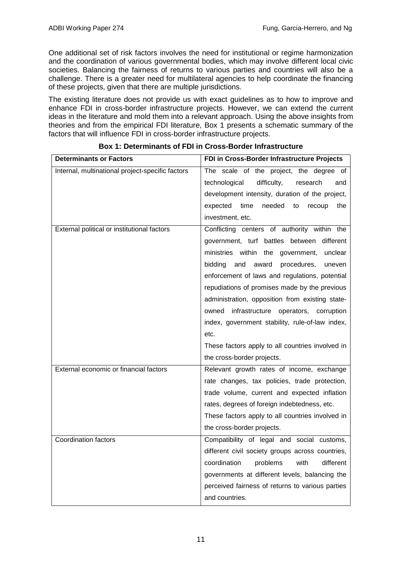One additional set of risk factors involves the need for institutional or regime harmonization and the coordination of various governmental bodies, which may involve different local civic societies. Balancing the fairness of returns to various parties and countries will also be a challenge. There is a greater need for multilateral agencies to help coordinate the financing of these projects, given that there are multiple jurisdictions.

The existing literature does not provide us with exact guidelines as to how to improve and enhance FDI in cross-border infrastructure projects. However, we can extend the current ideas in the literature and mold them into a relevant approach. Using the above insights from theories and from the empirical FDI literature, Box 1 presents a schematic summary of the factors that will influence FDI in cross-border infrastructure projects.

| <b>Determinants or Factors</b>                   | FDI in Cross-Border Infrastructure Projects      |
|--------------------------------------------------|--------------------------------------------------|
| Internal, multinational project-specific factors | The scale of the project, the degree of          |
|                                                  | technological<br>difficulty,<br>research<br>and  |
|                                                  | development intensity, duration of the project,  |
|                                                  | expected time<br>needed<br>to<br>recoup<br>the   |
|                                                  | investment, etc.                                 |
| External political or institutional factors      | Conflicting centers of authority within the      |
|                                                  | government, turf battles between<br>different    |
|                                                  | ministries within the government,<br>unclear     |
|                                                  | bidding<br>and<br>award<br>procedures,<br>uneven |
|                                                  | enforcement of laws and regulations, potential   |
|                                                  | repudiations of promises made by the previous    |
|                                                  | administration, opposition from existing state-  |
|                                                  | owned infrastructure operators, corruption       |
|                                                  | index, government stability, rule-of-law index,  |
|                                                  | etc.                                             |
|                                                  | These factors apply to all countries involved in |
|                                                  | the cross-border projects.                       |
| External economic or financial factors           | Relevant growth rates of income, exchange        |
|                                                  | rate changes, tax policies, trade protection,    |
|                                                  | trade volume, current and expected inflation     |
|                                                  | rates, degrees of foreign indebtedness, etc.     |
|                                                  | These factors apply to all countries involved in |
|                                                  | the cross-border projects.                       |
| <b>Coordination factors</b>                      | Compatibility of legal and social customs,       |
|                                                  | different civil society groups across countries, |
|                                                  | coordination<br>with<br>different<br>problems    |
|                                                  | governments at different levels, balancing the   |
|                                                  | perceived fairness of returns to various parties |
|                                                  | and countries.                                   |

#### **Box 1: Determinants of FDI in Cross-Border Infrastructure**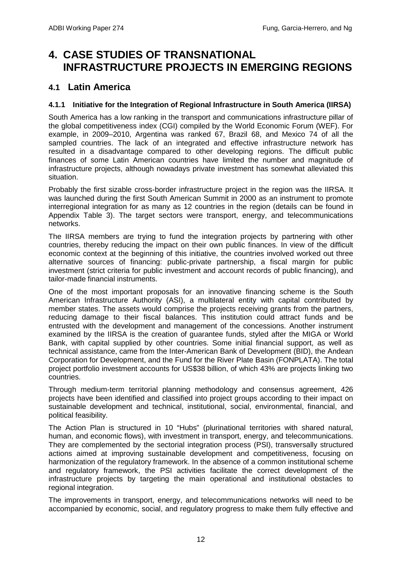## **4. CASE STUDIES OF TRANSNATIONAL INFRASTRUCTURE PROJECTS IN EMERGING REGIONS**

### **4.1 Latin America**

#### **4.1.1 Initiative for the Integration of Regional Infrastructure in South America (IIRSA)**

South America has a low ranking in the transport and communications infrastructure pillar of the global competitiveness index (CGI) compiled by the World Economic Forum (WEF). For example, in 2009–2010, Argentina was ranked 67, Brazil 68, and Mexico 74 of all the sampled countries. The lack of an integrated and effective infrastructure network has resulted in a disadvantage compared to other developing regions. The difficult public finances of some Latin American countries have limited the number and magnitude of infrastructure projects, although nowadays private investment has somewhat alleviated this situation.

Probably the first sizable cross-border infrastructure project in the region was the IIRSA. It was launched during the first South American Summit in 2000 as an instrument to promote interregional integration for as many as 12 countries in the region (details can be found in Appendix Table 3). The target sectors were transport, energy, and telecommunications networks.

The IIRSA members are trying to fund the integration projects by partnering with other countries, thereby reducing the impact on their own public finances. In view of the difficult economic context at the beginning of this initiative, the countries involved worked out three alternative sources of financing: public-private partnership, a fiscal margin for public investment (strict criteria for public investment and account records of public financing), and tailor-made financial instruments.

One of the most important proposals for an innovative financing scheme is the South American Infrastructure Authority (ASI), a multilateral entity with capital contributed by member states. The assets would comprise the projects receiving grants from the partners, reducing damage to their fiscal balances. This institution could attract funds and be entrusted with the development and management of the concessions. Another instrument examined by the IIRSA is the creation of guarantee funds, styled after the MIGA or World Bank, with capital supplied by other countries. Some initial financial support, as well as technical assistance, came from the Inter-American Bank of Development (BID), the Andean Corporation for Development, and the Fund for the River Plate Basin (FONPLATA). The total project portfolio investment accounts for US\$38 billion, of which 43% are projects linking two countries.

Through medium-term territorial planning methodology and consensus agreement, 426 projects have been identified and classified into project groups according to their impact on sustainable development and technical, institutional, social, environmental, financial, and political feasibility.

The Action Plan is structured in 10 "Hubs" (plurinational territories with shared natural, human, and economic flows), with investment in transport, energy, and telecommunications. They are complemented by the sectorial integration process (PSI), transversally structured actions aimed at improving sustainable development and competitiveness, focusing on harmonization of the regulatory framework. In the absence of a common institutional scheme and regulatory framework, the PSI activities facilitate the correct development of the infrastructure projects by targeting the main operational and institutional obstacles to regional integration.

The improvements in transport, energy, and telecommunications networks will need to be accompanied by economic, social, and regulatory progress to make them fully effective and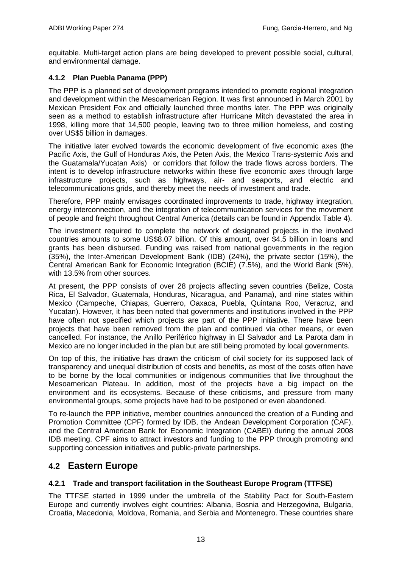equitable. Multi-target action plans are being developed to prevent possible social, cultural, and environmental damage.

#### **4.1.2 Plan Puebla Panama (PPP)**

The PPP is a planned set of development programs intended to promote regional integration and development within the Mesoamerican Region. It was first announced in March 2001 by Mexican President Fox and officially launched three months later. The PPP was originally seen as a method to establish infrastructure after Hurricane Mitch devastated the area in 1998, killing more that 14,500 people, leaving two to three million homeless, and costing over US\$5 billion in damages.

The initiative later evolved towards the economic development of five economic axes (the Pacific Axis, the Gulf of Honduras Axis, the Peten Axis, the Mexico Trans-systemic Axis and the Guatamala/Yucatan Axis) or corridors that follow the trade flows across borders. The intent is to develop infrastructure networks within these five economic axes through large infrastructure projects, such as highways, air- and seaports, and electric and telecommunications grids, and thereby meet the needs of investment and trade.

Therefore, PPP mainly envisages coordinated improvements to trade, highway integration, energy interconnection, and the integration of telecommunication services for the movement of people and freight throughout Central America (details can be found in Appendix Table 4).

The investment required to complete the network of designated projects in the involved countries amounts to some US\$8.07 billion. Of this amount, over \$4.5 billion in loans and grants has been disbursed. Funding was raised from national governments in the region (35%), the Inter-American Development Bank (IDB) (24%), the private sector (15%), the Central American Bank for Economic Integration (BCIE) (7.5%), and the World Bank (5%), with 13.5% from other sources.

At present, the PPP consists of over 28 projects affecting seven countries (Belize, Costa Rica, El Salvador, Guatemala, Honduras, Nicaragua, and Panama), and nine states within Mexico (Campeche, Chiapas, Guerrero, Oaxaca, Puebla, Quintana Roo, Veracruz, and Yucatan). However, it has been noted that governments and institutions involved in the PPP have often not specified which projects are part of the PPP initiative. There have been projects that have been removed from the plan and continued via other means, or even cancelled. For instance, the Anillo Periférico highway in El Salvador and La Parota dam in Mexico are no longer included in the plan but are still being promoted by local governments.

On top of this, the initiative has drawn the criticism of civil society for its supposed lack of transparency and unequal distribution of costs and benefits, as most of the costs often have to be borne by the local communities or indigenous communities that live throughout the Mesoamerican Plateau. In addition, most of the projects have a big impact on the environment and its ecosystems. Because of these criticisms, and pressure from many environmental groups, some projects have had to be postponed or even abandoned.

To re-launch the PPP initiative, member countries announced the creation of a Funding and Promotion Committee (CPF) formed by IDB, the Andean Development Corporation (CAF), and the Central American Bank for Economic Integration (CABEI) during the annual 2008 IDB meeting. CPF aims to attract investors and funding to the PPP through promoting and supporting concession initiatives and public-private partnerships.

### **4.2 Eastern Europe**

#### **4.2.1 Trade and transport facilitation in the Southeast Europe Program (TTFSE)**

The TTFSE started in 1999 under the umbrella of the Stability Pact for South-Eastern Europe and currently involves eight countries: Albania, Bosnia and Herzegovina, Bulgaria, Croatia, Macedonia, Moldova, Romania, and Serbia and Montenegro. These countries share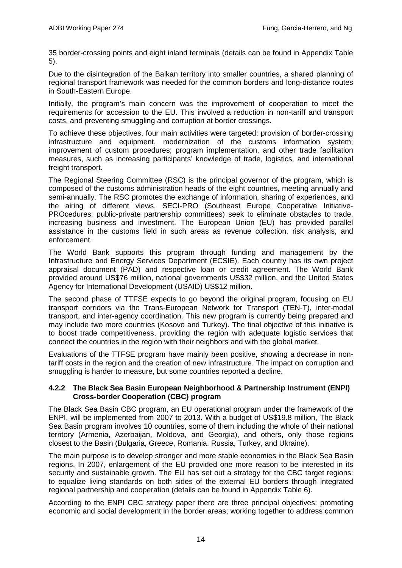35 border-crossing points and eight inland terminals (details can be found in Appendix Table 5).

Due to the disintegration of the Balkan territory into smaller countries, a shared planning of regional transport framework was needed for the common borders and long-distance routes in South-Eastern Europe.

Initially, the program's main concern was the improvement of cooperation to meet the requirements for accession to the EU. This involved a reduction in non-tariff and transport costs, and preventing smuggling and corruption at border crossings.

To achieve these objectives, four main activities were targeted: provision of border-crossing infrastructure and equipment, modernization of the customs information system; improvement of custom procedures; program implementation, and other trade facilitation measures, such as increasing participants' knowledge of trade, logistics, and international freight transport.

The Regional Steering Committee (RSC) is the principal governor of the program, which is composed of the customs administration heads of the eight countries, meeting annually and semi-annually. The RSC promotes the exchange of information, sharing of experiences, and the airing of different views. SECI-PRO (Southeast Europe Cooperative Initiative-PROcedures: public-private partnership committees) seek to eliminate obstacles to trade, increasing business and investment. The European Union (EU) has provided parallel assistance in the customs field in such areas as revenue collection, risk analysis, and enforcement.

The World Bank supports this program through funding and management by the Infrastructure and Energy Services Department (ECSIE). Each country has its own project appraisal document (PAD) and respective loan or credit agreement. The World Bank provided around US\$76 million, national governments US\$32 million, and the United States Agency for International Development (USAID) US\$12 million.

The second phase of TTFSE expects to go beyond the original program, focusing on EU transport corridors via the Trans-European Network for Transport (TEN-T), inter-modal transport, and inter-agency coordination. This new program is currently being prepared and may include two more countries (Kosovo and Turkey). The final objective of this initiative is to boost trade competitiveness, providing the region with adequate logistic services that connect the countries in the region with their neighbors and with the global market.

Evaluations of the TTFSE program have mainly been positive, showing a decrease in nontariff costs in the region and the creation of new infrastructure. The impact on corruption and smuggling is harder to measure, but some countries reported a decline.

#### **4.2.2 The Black Sea Basin European Neighborhood & Partnership Instrument (ENPI) Cross-border Cooperation (CBC) program**

The Black Sea Basin CBC program, an EU operational program under the framework of the ENPI, will be implemented from 2007 to 2013. With a budget of US\$19.8 million, The Black Sea Basin program involves 10 countries, some of them including the whole of their national territory (Armenia, Azerbaijan, Moldova, and Georgia), and others, only those regions closest to the Basin (Bulgaria, Greece, Romania, Russia, Turkey, and Ukraine).

The main purpose is to develop stronger and more stable economies in the Black Sea Basin regions. In 2007, enlargement of the EU provided one more reason to be interested in its security and sustainable growth. The EU has set out a strategy for the CBC target regions: to equalize living standards on both sides of the external EU borders through integrated regional partnership and cooperation (details can be found in Appendix Table 6).

According to the ENPI CBC strategy paper there are three principal objectives: promoting economic and social development in the border areas; working together to address common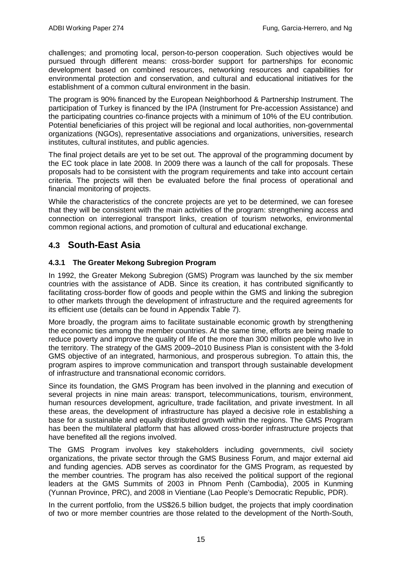challenges; and promoting local, person-to-person cooperation. Such objectives would be pursued through different means: cross-border support for partnerships for economic development based on combined resources, networking resources and capabilities for environmental protection and conservation, and cultural and educational initiatives for the establishment of a common cultural environment in the basin.

The program is 90% financed by the European Neighborhood & Partnership Instrument. The participation of Turkey is financed by the IPA (Instrument for Pre-accession Assistance) and the participating countries co-finance projects with a minimum of 10% of the EU contribution. Potential beneficiaries of this project will be regional and local authorities, non-governmental organizations (NGOs), representative associations and organizations, universities, research institutes, cultural institutes, and public agencies.

The final project details are yet to be set out. The approval of the programming document by the EC took place in late 2008. In 2009 there was a launch of the call for proposals. These proposals had to be consistent with the program requirements and take into account certain criteria. The projects will then be evaluated before the final process of operational and financial monitoring of projects.

While the characteristics of the concrete projects are yet to be determined, we can foresee that they will be consistent with the main activities of the program: strengthening access and connection on interregional transport links, creation of tourism networks, environmental common regional actions, and promotion of cultural and educational exchange.

### **4.3 South-East Asia**

#### **4.3.1 The Greater Mekong Subregion Program**

In 1992, the Greater Mekong Subregion (GMS) Program was launched by the six member countries with the assistance of ADB. Since its creation, it has contributed significantly to facilitating cross-border flow of goods and people within the GMS and linking the subregion to other markets through the development of infrastructure and the required agreements for its efficient use (details can be found in Appendix Table 7).

More broadly, the program aims to facilitate sustainable economic growth by strengthening the economic ties among the member countries. At the same time, efforts are being made to reduce poverty and improve the quality of life of the more than 300 million people who live in the territory. The strategy of the GMS 2009–2010 Business Plan is consistent with the 3-fold GMS objective of an integrated, harmonious, and prosperous subregion. To attain this, the program aspires to improve communication and transport through sustainable development of infrastructure and transnational economic corridors.

Since its foundation, the GMS Program has been involved in the planning and execution of several projects in nine main areas: transport, telecommunications, tourism, environment, human resources development, agriculture, trade facilitation, and private investment. In all these areas, the development of infrastructure has played a decisive role in establishing a base for a sustainable and equally distributed growth within the regions. The GMS Program has been the multilateral platform that has allowed cross-border infrastructure projects that have benefited all the regions involved.

The GMS Program involves key stakeholders including governments, civil society organizations, the private sector through the GMS Business Forum, and major external aid and funding agencies. ADB serves as coordinator for the GMS Program, as requested by the member countries. The program has also received the political support of the regional leaders at the GMS Summits of 2003 in Phnom Penh (Cambodia), 2005 in Kunming (Yunnan Province, PRC), and 2008 in Vientiane (Lao People's Democratic Republic, PDR).

In the current portfolio, from the US\$26.5 billion budget, the projects that imply coordination of two or more member countries are those related to the development of the North-South,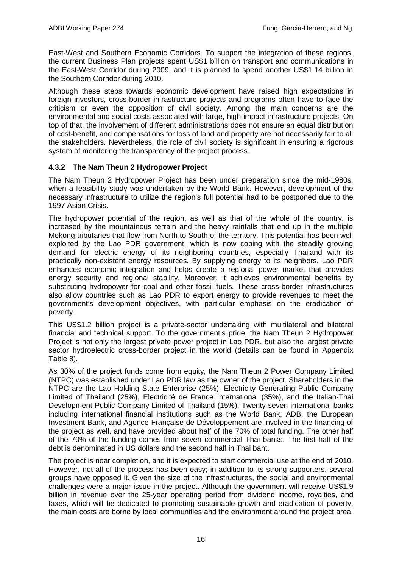East-West and Southern Economic Corridors. To support the integration of these regions, the current Business Plan projects spent US\$1 billion on transport and communications in the East-West Corridor during 2009, and it is planned to spend another US\$1.14 billion in the Southern Corridor during 2010.

Although these steps towards economic development have raised high expectations in foreign investors, cross-border infrastructure projects and programs often have to face the criticism or even the opposition of civil society. Among the main concerns are the environmental and social costs associated with large, high-impact infrastructure projects. On top of that, the involvement of different administrations does not ensure an equal distribution of cost-benefit, and compensations for loss of land and property are not necessarily fair to all the stakeholders. Nevertheless, the role of civil society is significant in ensuring a rigorous system of monitoring the transparency of the project process.

#### **4.3.2 The Nam Theun 2 Hydropower Project**

The Nam Theun 2 Hydropower Project has been under preparation since the mid-1980s, when a feasibility study was undertaken by the World Bank. However, development of the necessary infrastructure to utilize the region's full potential had to be postponed due to the 1997 Asian Crisis.

The hydropower potential of the region, as well as that of the whole of the country, is increased by the mountainous terrain and the heavy rainfalls that end up in the multiple Mekong tributaries that flow from North to South of the territory. This potential has been well exploited by the Lao PDR government, which is now coping with the steadily growing demand for electric energy of its neighboring countries, especially Thailand with its practically non-existent energy resources. By supplying energy to its neighbors, Lao PDR enhances economic integration and helps create a regional power market that provides energy security and regional stability. Moreover, it achieves environmental benefits by substituting hydropower for coal and other fossil fuels. These cross-border infrastructures also allow countries such as Lao PDR to export energy to provide revenues to meet the government's development objectives, with particular emphasis on the eradication of poverty.

This US\$1.2 billion project is a private-sector undertaking with multilateral and bilateral financial and technical support. To the government's pride, the Nam Theun 2 Hydropower Project is not only the largest private power project in Lao PDR, but also the largest private sector hydroelectric cross-border project in the world (details can be found in Appendix Table 8).

As 30% of the project funds come from equity, the Nam Theun 2 Power Company Limited (NTPC) was established under Lao PDR law as the owner of the project. Shareholders in the NTPC are the Lao Holding State Enterprise (25%), Electricity Generating Public Company Limited of Thailand (25%), Electricité de France International (35%), and the Italian-Thai Development Public Company Limited of Thailand (15%). Twenty-seven international banks including international financial institutions such as the World Bank, ADB, the European Investment Bank, and Agence Française de Développement are involved in the financing of the project as well, and have provided about half of the 70% of total funding. The other half of the 70% of the funding comes from seven commercial Thai banks. The first half of the debt is denominated in US dollars and the second half in Thai baht.

The project is near completion, and it is expected to start commercial use at the end of 2010. However, not all of the process has been easy; in addition to its strong supporters, several groups have opposed it. Given the size of the infrastructures, the social and environmental challenges were a major issue in the project. Although the government will receive US\$1.9 billion in revenue over the 25-year operating period from dividend income, royalties, and taxes, which will be dedicated to promoting sustainable growth and eradication of poverty, the main costs are borne by local communities and the environment around the project area.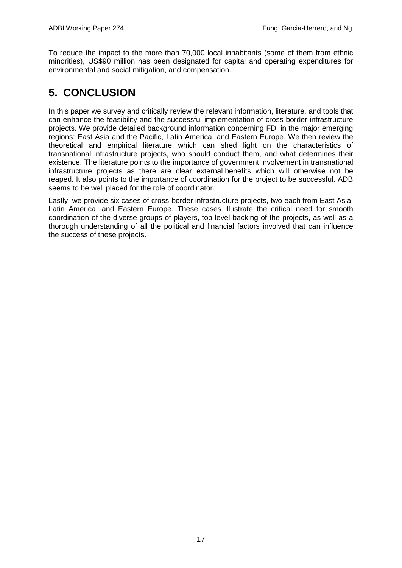To reduce the impact to the more than 70,000 local inhabitants (some of them from ethnic minorities), US\$90 million has been designated for capital and operating expenditures for environmental and social mitigation, and compensation.

# **5. CONCLUSION**

In this paper we survey and critically review the relevant information, literature, and tools that can enhance the feasibility and the successful implementation of cross-border infrastructure projects. We provide detailed background information concerning FDI in the major emerging regions: East Asia and the Pacific, Latin America, and Eastern Europe. We then review the theoretical and empirical literature which can shed light on the characteristics of transnational infrastructure projects, who should conduct them, and what determines their existence. The literature points to the importance of government involvement in transnational infrastructure projects as there are clear external benefits which will otherwise not be reaped. It also points to the importance of coordination for the project to be successful. ADB seems to be well placed for the role of coordinator.

Lastly, we provide six cases of cross-border infrastructure projects, two each from East Asia, Latin America, and Eastern Europe. These cases illustrate the critical need for smooth coordination of the diverse groups of players, top-level backing of the projects, as well as a thorough understanding of all the political and financial factors involved that can influence the success of these projects.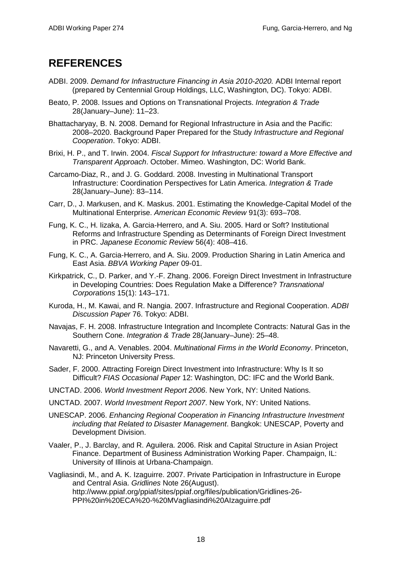## **REFERENCES**

- ADBI. 2009. *Demand for Infrastructure Financing in Asia 2010-2020.* ADBI Internal report (prepared by Centennial Group Holdings, LLC, Washington, DC). Tokyo: ADBI.
- Beato, P. 2008. Issues and Options on Transnational Projects. *Integration & Trade* 28(January–June): 11–23.
- Bhattacharyay, B. N. 2008. Demand for Regional Infrastructure in Asia and the Pacific: 2008–2020. Background Paper Prepared for the Study *Infrastructure and Regional Cooperation*. Tokyo: ADBI.
- Brixi, H. P., and T. Irwin. 2004. *Fiscal Support for Infrastructure: toward a More Effective and Transparent Approach*. October. Mimeo. Washington, DC: World Bank.
- Carcamo-Diaz, R., and J. G. Goddard. 2008. Investing in Multinational Transport Infrastructure: Coordination Perspectives for Latin America. *Integration & Trade* 28(January–June): 83–114.
- Carr, D., J. Markusen, and K. Maskus. 2001. Estimating the Knowledge-Capital Model of the Multinational Enterprise. *American Economic Review* 91(3): 693–708.
- Fung, K. C., H. Iizaka, A. Garcia-Herrero, and A. Siu. 2005. Hard or Soft? Institutional Reforms and Infrastructure Spending as Determinants of Foreign Direct Investment in PRC. *Japanese Economic Review* 56(4): 408–416.
- Fung, K. C., A. Garcia-Herrero, and A. Siu. 2009. Production Sharing in Latin America and East Asia. *BBVA Working Paper* 09-01.
- Kirkpatrick, C., D. Parker, and Y.-F. Zhang. 2006. Foreign Direct Investment in Infrastructure in Developing Countries: Does Regulation Make a Difference? *Transnational Corporations* 15(1): 143–171.
- Kuroda, H., M. Kawai, and R. Nangia. 2007. Infrastructure and Regional Cooperation. *ADBI Discussion Paper* 76. Tokyo: ADBI.
- Navajas, F. H. 2008. Infrastructure Integration and Incomplete Contracts: Natural Gas in the Southern Cone. *Integration & Trade* 28(January–June): 25–48.
- Navaretti, G., and A. Venables. 2004. *Multinational Firms in the World Economy*. Princeton, NJ: Princeton University Press.
- Sader, F. 2000. Attracting Foreign Direct Investment into Infrastructure: Why Is It so Difficult? *FIAS Occasional Paper* 12: Washington, DC: IFC and the World Bank.
- UNCTAD. 2006. *World Investment Report 2006*. New York, NY: United Nations.
- UNCTAD. 2007. *World Investment Report 2007*. New York, NY: United Nations.
- UNESCAP. 2006. *Enhancing Regional Cooperation in Financing Infrastructure Investment including that Related to Disaster Management*. Bangkok: UNESCAP, Poverty and Development Division.
- Vaaler, P., J. Barclay, and R. Aguilera. 2006. Risk and Capital Structure in Asian Project Finance. Department of Business Administration Working Paper. Champaign, IL: University of Illinois at Urbana-Champaign.
- Vagliasindi, M., and A. K. Izaguirre. 2007. Private Participation in Infrastructure in Europe and Central Asia. *Gridlines* Note 26(August). http://www.ppiaf.org/ppiaf/sites/ppiaf.org/files/publication/Gridlines-26- PPI%20in%20ECA%20-%20MVagliasindi%20AIzaguirre.pdf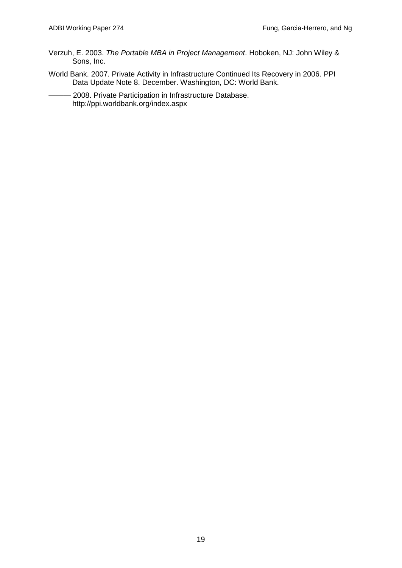- Verzuh, E. 2003. *The Portable MBA in Project Management*. Hoboken, NJ: John Wiley & Sons, Inc.
- World Bank. 2007. Private Activity in Infrastructure Continued Its Recovery in 2006. PPI Data Update Note 8. December. Washington, DC: World Bank.
- 2008. Private Participation in Infrastructure Database. http://ppi.worldbank.org/index.aspx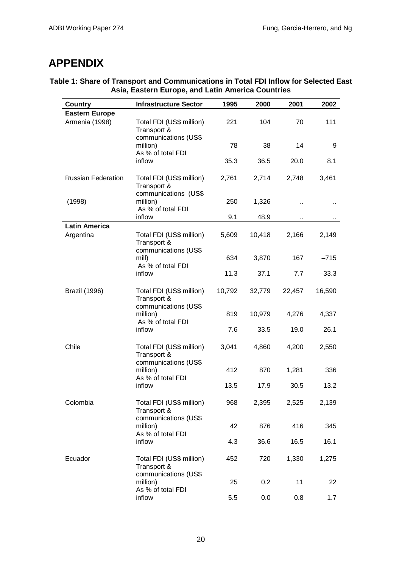## **APPENDIX**

| <b>Country</b>                    | <b>Infrastructure Sector</b>                                      | 1995   | 2000   | 2001   | 2002    |
|-----------------------------------|-------------------------------------------------------------------|--------|--------|--------|---------|
| <b>Eastern Europe</b>             |                                                                   |        |        |        |         |
| Armenia (1998)                    | Total FDI (US\$ million)<br>Transport &<br>communications (US\$   | 221    | 104    | 70     | 111     |
|                                   | million)<br>As % of total FDI                                     | 78     | 38     | 14     | 9       |
|                                   | inflow                                                            | 35.3   | 36.5   | 20.0   | 8.1     |
| <b>Russian Federation</b>         | Total FDI (US\$ million)<br>Transport &                           | 2,761  | 2,714  | 2,748  | 3,461   |
| (1998)                            | communications (US\$<br>million)<br>As % of total FDI             | 250    | 1,326  |        |         |
|                                   | inflow                                                            | 9.1    | 48.9   |        |         |
| <b>Latin America</b><br>Argentina | Total FDI (US\$ million)                                          | 5,609  | 10,418 | 2,166  | 2,149   |
|                                   | Transport &<br>communications (US\$<br>mill)<br>As % of total FDI | 634    | 3,870  | 167    | $-715$  |
|                                   | inflow                                                            | 11.3   | 37.1   | 7.7    | $-33.3$ |
| <b>Brazil (1996)</b>              | Total FDI (US\$ million)<br>Transport &<br>communications (US\$   | 10,792 | 32,779 | 22,457 | 16,590  |
|                                   | million)<br>As % of total FDI                                     | 819    | 10,979 | 4,276  | 4,337   |
|                                   | inflow                                                            | 7.6    | 33.5   | 19.0   | 26.1    |
| Chile                             | Total FDI (US\$ million)<br>Transport &<br>communications (US\$   | 3,041  | 4,860  | 4,200  | 2,550   |
|                                   | million)<br>As % of total FDI                                     | 412    | 870    | 1,281  | 336     |
|                                   | inflow                                                            | 13.5   | 17.9   | 30.5   | 13.2    |
| Colombia                          | Total FDI (US\$ million)<br>Transport &                           | 968    | 2,395  | 2,525  | 2,139   |
|                                   | communications (US\$<br>million)<br>As % of total FDI             | 42     | 876    | 416    | 345     |
|                                   | inflow                                                            | 4.3    | 36.6   | 16.5   | 16.1    |
| Ecuador                           | Total FDI (US\$ million)<br>Transport &<br>communications (US\$   | 452    | 720    | 1,330  | 1,275   |
|                                   | million)<br>As % of total FDI                                     | 25     | 0.2    | 11     | 22      |

#### **Table 1: Share of Transport and Communications in Total FDI Inflow for Selected East Asia, Eastern Europe, and Latin America Countries**

inflow 5.5 0.0 0.8 1.7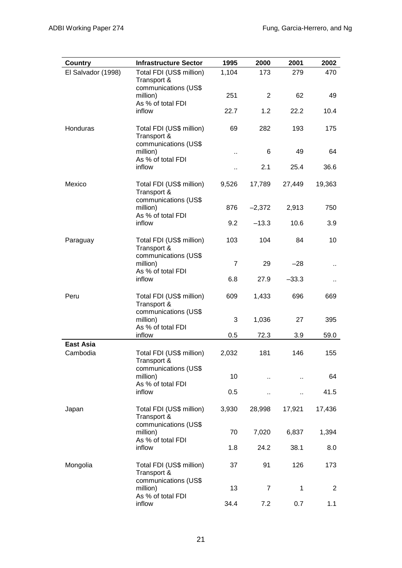| Country                      | <b>Infrastructure Sector</b>                                    | 1995           | 2000           | 2001                 | 2002           |
|------------------------------|-----------------------------------------------------------------|----------------|----------------|----------------------|----------------|
| El Salvador (1998)           | Total FDI (US\$ million)<br>Transport &                         | 1,104          | 173            | 279                  | 470            |
|                              | communications (US\$<br>million)                                | 251            | 2              | 62                   | 49             |
|                              | As % of total FDI<br>inflow                                     | 22.7           | 1.2            | 22.2                 | 10.4           |
| Honduras                     | Total FDI (US\$ million)<br>Transport &                         | 69             | 282            | 193                  | 175            |
|                              | communications (US\$<br>million)<br>As % of total FDI           |                | 6              | 49                   | 64             |
|                              | inflow                                                          |                | 2.1            | 25.4                 | 36.6           |
| Mexico                       | Total FDI (US\$ million)<br>Transport &                         | 9,526          | 17,789         | 27,449               | 19,363         |
|                              | communications (US\$<br>million)<br>As % of total FDI           | 876            | $-2,372$       | 2,913                | 750            |
|                              | inflow                                                          | 9.2            | $-13.3$        | 10.6                 | 3.9            |
| Paraguay                     | Total FDI (US\$ million)<br>Transport &                         | 103            | 104            | 84                   | 10             |
|                              | communications (US\$<br>million)<br>As % of total FDI<br>inflow | $\overline{7}$ | 29             | $-28$                |                |
|                              |                                                                 | 6.8            | 27.9           | $-33.3$              | н,             |
| Peru                         | Total FDI (US\$ million)<br>Transport &                         | 609            | 1,433          | 696                  | 669            |
|                              | communications (US\$<br>million)<br>As % of total FDI           | 3              | 1,036          | 27                   | 395            |
|                              | inflow                                                          | 0.5            | 72.3           | 3.9                  | 59.0           |
| <b>East Asia</b><br>Cambodia | Total FDI (US\$ million)<br>Transport &                         | 2,032          | 181            | 146                  | 155            |
|                              | communications (US\$<br>million)<br>As % of total FDI           | 10             | Ω.             | $\ddot{\phantom{a}}$ | 64             |
|                              | inflow                                                          | 0.5            | ٠.             |                      | 41.5           |
| Japan                        | Total FDI (US\$ million)<br>Transport &                         | 3,930          | 28,998         | 17,921               | 17,436         |
|                              | communications (US\$<br>million)<br>As % of total FDI           | 70             | 7,020          | 6,837                | 1,394          |
|                              | inflow                                                          | 1.8            | 24.2           | 38.1                 | 8.0            |
| Mongolia                     | Total FDI (US\$ million)<br>Transport &                         | 37             | 91             | 126                  | 173            |
|                              | communications (US\$<br>million)<br>As % of total FDI           | 13             | $\overline{7}$ | $\mathbf 1$          | $\overline{2}$ |
|                              | inflow                                                          | 34.4           | 7.2            | 0.7                  | 1.1            |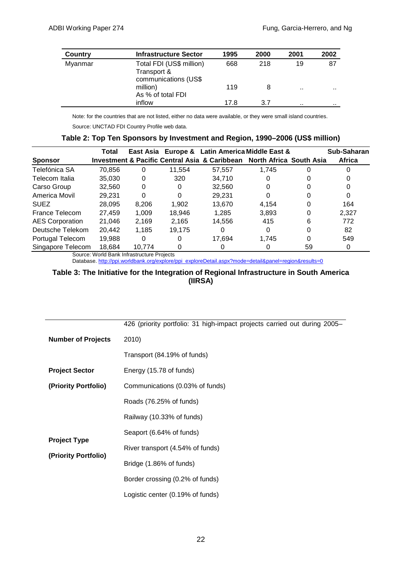| Country | <b>Infrastructure Sector</b>                                    | 1995 | 2000 | 2001     | 2002 |
|---------|-----------------------------------------------------------------|------|------|----------|------|
| Myanmar | Total FDI (US\$ million)<br>Transport &<br>communications (US\$ | 668  | 218  | 19       | 87   |
|         | million)<br>As % of total FDI                                   | 119  |      | $\cdots$ |      |
|         | inflow                                                          | 17.8 | 3.7  | $\cdots$ | .    |

Note: for the countries that are not listed, either no data were available, or they were small island countries.

Source: UNCTAD FDI Country Profile web data.

|  | Table 2: Top Ten Sponsors by Investment and Region, 1990–2006 (US\$ million) |  |  |  |  |  |
|--|------------------------------------------------------------------------------|--|--|--|--|--|
|--|------------------------------------------------------------------------------|--|--|--|--|--|

| Total                       |          |          |        |       |    | Sub-Saharan                                                                                                             |
|-----------------------------|----------|----------|--------|-------|----|-------------------------------------------------------------------------------------------------------------------------|
|                             |          |          |        |       |    | Africa                                                                                                                  |
| 70,856                      | 0        | 11.554   | 57.557 | 1.745 |    |                                                                                                                         |
| 35.030                      | 0        | 320      | 34.710 | 0     |    |                                                                                                                         |
| 32,560                      | 0        | 0        | 32,560 | 0     |    |                                                                                                                         |
| 29.231                      | $\Omega$ | $\Omega$ | 29.231 | 0     |    | 0                                                                                                                       |
| 28,095                      | 8,206    | 1,902    | 13,670 | 4.154 | O  | 164                                                                                                                     |
| 27,459                      | 1,009    | 18.946   | 1.285  | 3,893 | 0  | 2,327                                                                                                                   |
| 21,046                      | 2,169    | 2,165    | 14,556 | 415   | 6  | 772                                                                                                                     |
| Deutsche Telekom<br>20,442  | 1,185    | 19.175   | O      | 0     |    | 82                                                                                                                      |
| 19,988                      | 0        | 0        | 17,694 | 1.745 | 0  | 549                                                                                                                     |
| Singapore Telecom<br>18.684 | 10.774   |          |        |       | 59 | 0                                                                                                                       |
|                             |          |          |        |       |    | East Asia Europe & Latin America Middle East &<br>Investment & Pacific Central Asia & Caribbean North Africa South Asia |

Source: World Bank Infrastructure Projects

Database. [http://ppi.worldbank.org/explore/ppi\\_exploreDetail.aspx?mode=detail&panel=region&results=0](http://ppi.worldbank.org/explore/ppi_exploreDetail.aspx?mode=detail&panel=region&results=0)

#### **Table 3: The Initiative for the Integration of Regional Infrastructure in South America (IIRSA)**

|                                             | 426 (priority portfolio: 31 high-impact projects carried out during 2005– |
|---------------------------------------------|---------------------------------------------------------------------------|
| <b>Number of Projects</b>                   | 2010)                                                                     |
|                                             | Transport (84.19% of funds)                                               |
| <b>Project Sector</b>                       | Energy (15.78 of funds)                                                   |
| (Priority Portfolio)                        | Communications (0.03% of funds)                                           |
|                                             | Roads (76.25% of funds)                                                   |
|                                             | Railway (10.33% of funds)                                                 |
|                                             | Seaport (6.64% of funds)                                                  |
| <b>Project Type</b><br>(Priority Portfolio) | River transport (4.54% of funds)                                          |
|                                             | Bridge (1.86% of funds)                                                   |
|                                             | Border crossing (0.2% of funds)                                           |
|                                             | Logistic center (0.19% of funds)                                          |
|                                             |                                                                           |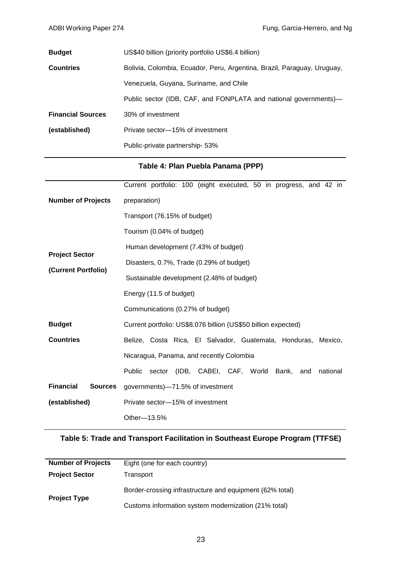| <b>Budget</b>            | US\$40 billion (priority portfolio US\$6.4 billion)                     |
|--------------------------|-------------------------------------------------------------------------|
| <b>Countries</b>         | Bolivia, Colombia, Ecuador, Peru, Argentina, Brazil, Paraguay, Uruguay, |
|                          | Venezuela, Guyana, Suriname, and Chile                                  |
|                          | Public sector (IDB, CAF, and FONPLATA and national governments)—        |
| <b>Financial Sources</b> | 30% of investment                                                       |
| (established)            | Private sector-15% of investment                                        |
|                          | Public-private partnership- 53%                                         |

#### **Table 4: Plan Puebla Panama (PPP)**

|                                    | Current portfolio: 100 (eight executed, 50 in progress, and 42 in           |  |  |  |  |  |  |
|------------------------------------|-----------------------------------------------------------------------------|--|--|--|--|--|--|
| <b>Number of Projects</b>          | preparation)                                                                |  |  |  |  |  |  |
|                                    | Transport (76.15% of budget)                                                |  |  |  |  |  |  |
|                                    | Tourism (0.04% of budget)                                                   |  |  |  |  |  |  |
|                                    | Human development (7.43% of budget)                                         |  |  |  |  |  |  |
| <b>Project Sector</b>              | Disasters, 0.7%, Trade (0.29% of budget)                                    |  |  |  |  |  |  |
| (Current Portfolio)                | Sustainable development (2.48% of budget)                                   |  |  |  |  |  |  |
|                                    | Energy (11.5 of budget)                                                     |  |  |  |  |  |  |
|                                    | Communications (0.27% of budget)                                            |  |  |  |  |  |  |
| <b>Budget</b>                      | Current portfolio: US\$8.076 billion (US\$50 billion expected)              |  |  |  |  |  |  |
| <b>Countries</b>                   | Belize, Costa Rica, El Salvador, Guatemala, Honduras, Mexico,               |  |  |  |  |  |  |
|                                    | Nicaragua, Panama, and recently Colombia                                    |  |  |  |  |  |  |
|                                    | (IDB, CABEI, CAF, World<br><b>Public</b><br>sector<br>Bank, and<br>national |  |  |  |  |  |  |
| <b>Financial</b><br><b>Sources</b> | governments)-71.5% of investment                                            |  |  |  |  |  |  |
| (established)                      | Private sector-15% of investment                                            |  |  |  |  |  |  |
|                                    | Other-13.5%                                                                 |  |  |  |  |  |  |

#### **Table 5: Trade and Transport Facilitation in Southeast Europe Program (TTFSE)**

| <b>Number of Projects</b> | Eight (one for each country)                             |
|---------------------------|----------------------------------------------------------|
| <b>Project Sector</b>     | Transport                                                |
| <b>Project Type</b>       | Border-crossing infrastructure and equipment (62% total) |
|                           | Customs information system modernization (21% total)     |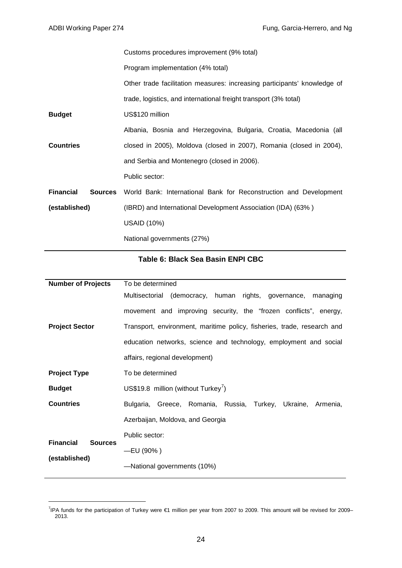|                             | Customs procedures improvement (9% total)                                |
|-----------------------------|--------------------------------------------------------------------------|
|                             | Program implementation (4% total)                                        |
|                             | Other trade facilitation measures: increasing participants' knowledge of |
|                             | trade, logistics, and international freight transport (3% total)         |
| <b>Budget</b>               | US\$120 million                                                          |
|                             | Albania, Bosnia and Herzegovina, Bulgaria, Croatia, Macedonia (all       |
| <b>Countries</b>            | closed in 2005), Moldova (closed in 2007), Romania (closed in 2004),     |
|                             | and Serbia and Montenegro (closed in 2006).                              |
|                             | Public sector:                                                           |
| <b>Financial</b><br>Sources | World Bank: International Bank for Reconstruction and Development        |
| (established)               | (IBRD) and International Development Association (IDA) (63%)             |
|                             | <b>USAID (10%)</b>                                                       |
|                             | National governments (27%)                                               |

#### **Table 6: Black Sea Basin ENPI CBC**

| <b>Number of Projects</b>                           | To be determined                                                        |
|-----------------------------------------------------|-------------------------------------------------------------------------|
| <b>Project Sector</b>                               | Multisectorial (democracy, human rights, governance, managing           |
|                                                     | movement and improving security, the "frozen conflicts", energy,        |
|                                                     | Transport, environment, maritime policy, fisheries, trade, research and |
|                                                     | education networks, science and technology, employment and social       |
|                                                     | affairs, regional development)                                          |
| <b>Project Type</b>                                 | To be determined                                                        |
| <b>Budget</b>                                       | US\$19.8 million (without Turkey')                                      |
| <b>Countries</b>                                    | Bulgaria, Greece, Romania, Russia,<br>Turkey, Ukraine,<br>Armenia,      |
|                                                     | Azerbaijan, Moldova, and Georgia                                        |
| <b>Financial</b><br><b>Sources</b><br>(established) | Public sector:                                                          |
|                                                     | $-EU(90% )$                                                             |
|                                                     | -National governments (10%)                                             |

<span id="page-27-0"></span><sup>-&</sup>lt;br>7 <sup>7</sup>IPA funds for the participation of Turkey were €1 million per year from 2007 to 2009. This amount will be revised for 2009– 2013.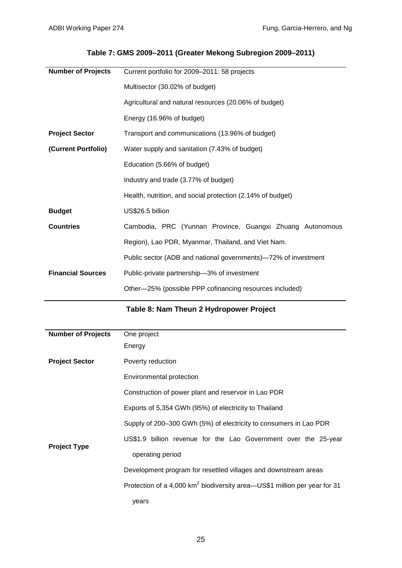### **Table 7: GMS 2009–2011 (Greater Mekong Subregion 2009–2011)**

| <b>Number of Projects</b> | Current portfolio for 2009-2011: 58 projects                   |
|---------------------------|----------------------------------------------------------------|
|                           | Multisector (30.02% of budget)                                 |
|                           | Agricultural and natural resources (20.06% of budget)          |
|                           | Energy (16.96% of budget)                                      |
| <b>Project Sector</b>     | Transport and communications (13.96% of budget)                |
| (Current Portfolio)       | Water supply and sanitation (7.43% of budget)                  |
|                           | Education (5.66% of budget)                                    |
|                           | Industry and trade (3.77% of budget)                           |
|                           | Health, nutrition, and social protection (2.14% of budget)     |
| <b>Budget</b>             | US\$26.5 billion                                               |
| <b>Countries</b>          | Cambodia, PRC (Yunnan Province, Guangxi Zhuang Autonomous      |
|                           | Region), Lao PDR, Myanmar, Thailand, and Viet Nam.             |
|                           | Public sector (ADB and national governments)–72% of investment |
| <b>Financial Sources</b>  | Public-private partnership-3% of investment                    |
|                           | Other-25% (possible PPP cofinancing resources included)        |

### **Table 8: Nam Theun 2 Hydropower Project**

| <b>Number of Projects</b> | One project                                                                           |
|---------------------------|---------------------------------------------------------------------------------------|
|                           |                                                                                       |
|                           | Energy                                                                                |
| <b>Project Sector</b>     | Poverty reduction                                                                     |
|                           | Environmental protection                                                              |
| <b>Project Type</b>       | Construction of power plant and reservoir in Lao PDR                                  |
|                           | Exports of 5,354 GWh (95%) of electricity to Thailand                                 |
|                           | Supply of 200–300 GWh (5%) of electricity to consumers in Lao PDR                     |
|                           | US\$1.9 billion revenue for the Lao Government over the 25-year                       |
|                           | operating period                                                                      |
|                           | Development program for resettled villages and downstream areas                       |
|                           | Protection of a 4,000 km <sup>2</sup> biodiversity area-US\$1 million per year for 31 |
|                           | years                                                                                 |